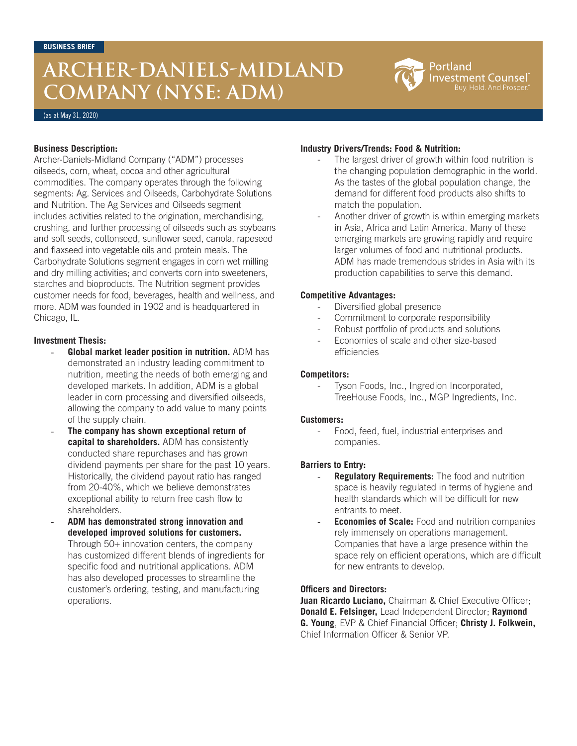# **ARCHER-DANIELS-MIDLAND COMPANY (NYSE: ADM)**

Portland **Investment Counsel** uy. Hold. And Prosper

(as at May 31, 2020)

## **Business Description:**

Archer-Daniels-Midland Company ("ADM") processes oilseeds, corn, wheat, cocoa and other agricultural commodities. The company operates through the following segments: Ag. Services and Oilseeds, Carbohydrate Solutions and Nutrition. The Ag Services and Oilseeds segment includes activities related to the origination, merchandising, crushing, and further processing of oilseeds such as soybeans and soft seeds, cottonseed, sunflower seed, canola, rapeseed and flaxseed into vegetable oils and protein meals. The Carbohydrate Solutions segment engages in corn wet milling and dry milling activities; and converts corn into sweeteners, starches and bioproducts. The Nutrition segment provides customer needs for food, beverages, health and wellness, and more. ADM was founded in 1902 and is headquartered in Chicago, IL.

#### **Investment Thesis:**

- Global market leader position in nutrition. ADM has demonstrated an industry leading commitment to nutrition, meeting the needs of both emerging and developed markets. In addition, ADM is a global leader in corn processing and diversified oilseeds, allowing the company to add value to many points of the supply chain.
- **The company has shown exceptional return of capital to shareholders.** ADM has consistently conducted share repurchases and has grown dividend payments per share for the past 10 years. Historically, the dividend payout ratio has ranged from 20-40%, which we believe demonstrates exceptional ability to return free cash flow to shareholders.
- **ADM has demonstrated strong innovation and developed improved solutions for customers.** Through 50+ innovation centers, the company has customized different blends of ingredients for specific food and nutritional applications. ADM has also developed processes to streamline the customer's ordering, testing, and manufacturing operations.

## **Industry Drivers/Trends: Food & Nutrition:**

- The largest driver of growth within food nutrition is the changing population demographic in the world. As the tastes of the global population change, the demand for different food products also shifts to match the population.
- Another driver of growth is within emerging markets in Asia, Africa and Latin America. Many of these emerging markets are growing rapidly and require larger volumes of food and nutritional products. ADM has made tremendous strides in Asia with its production capabilities to serve this demand.

#### **Competitive Advantages:**

- Diversified global presence
- Commitment to corporate responsibility
- Robust portfolio of products and solutions
- Economies of scale and other size-based efficiencies

#### **Competitors:**

Tyson Foods, Inc., Ingredion Incorporated, TreeHouse Foods, Inc., MGP Ingredients, Inc.

#### **Customers:**

Food, feed, fuel, industrial enterprises and companies.

#### **Barriers to Entry:**

- **Regulatory Requirements:** The food and nutrition space is heavily regulated in terms of hygiene and health standards which will be difficult for new entrants to meet.
- **Economies of Scale:** Food and nutrition companies rely immensely on operations management. Companies that have a large presence within the space rely on efficient operations, which are difficult for new entrants to develop.

#### **Officers and Directors:**

**Juan Ricardo Luciano,** Chairman & Chief Executive Officer; **Donald E. Felsinger,** Lead Independent Director; **Raymond G. Young**, EVP & Chief Financial Officer; **Christy J. Folkwein,** Chief Information Officer & Senior VP.